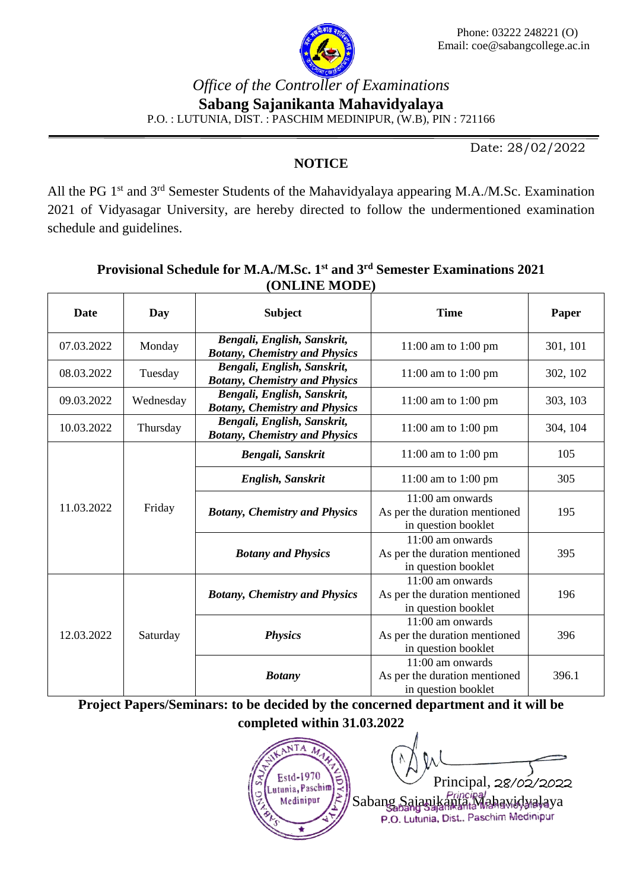

## *Office of the Controller of Examinations* **Sabang Sajanikanta Mahavidyalaya** P.O. : LUTUNIA, DIST. : PASCHIM MEDINIPUR, (W.B), PIN : 721166

Date: 28/02/2022

## **NOTICE**

All the PG 1<sup>st</sup> and 3<sup>rd</sup> Semester Students of the Mahavidyalaya appearing M.A./M.Sc. Examination 2021 of Vidyasagar University, are hereby directed to follow the undermentioned examination schedule and guidelines.

## **Provisional Schedule for M.A./M.Sc. 1 st and 3rd Semester Examinations 2021 (ONLINE MODE)**

| <b>Date</b> | <b>Day</b> | <b>Subject</b>                                                      | <b>Time</b>                                                                | Paper    |
|-------------|------------|---------------------------------------------------------------------|----------------------------------------------------------------------------|----------|
| 07.03.2022  | Monday     | Bengali, English, Sanskrit,<br><b>Botany, Chemistry and Physics</b> | 11:00 am to 1:00 pm                                                        | 301, 101 |
| 08.03.2022  | Tuesday    | Bengali, English, Sanskrit,<br><b>Botany, Chemistry and Physics</b> | 11:00 am to 1:00 pm                                                        | 302, 102 |
| 09.03.2022  | Wednesday  | Bengali, English, Sanskrit,<br><b>Botany, Chemistry and Physics</b> | 11:00 am to 1:00 pm                                                        | 303, 103 |
| 10.03.2022  | Thursday   | Bengali, English, Sanskrit,<br><b>Botany, Chemistry and Physics</b> | 11:00 am to 1:00 pm                                                        | 304, 104 |
| 11.03.2022  | Friday     | Bengali, Sanskrit                                                   | 11:00 am to 1:00 pm                                                        | 105      |
|             |            | English, Sanskrit                                                   | 11:00 am to 1:00 pm                                                        | 305      |
|             |            | <b>Botany, Chemistry and Physics</b>                                | 11:00 am onwards<br>As per the duration mentioned<br>in question booklet   | 195      |
|             |            | <b>Botany and Physics</b>                                           | 11:00 am onwards<br>As per the duration mentioned<br>in question booklet   | 395      |
| 12.03.2022  | Saturday   | <b>Botany, Chemistry and Physics</b>                                | 11:00 am onwards<br>As per the duration mentioned<br>in question booklet   | 196      |
|             |            | <b>Physics</b>                                                      | $11:00$ am onwards<br>As per the duration mentioned<br>in question booklet | 396      |
|             |            | <b>Botany</b>                                                       | 11:00 am onwards<br>As per the duration mentioned<br>in question booklet   | 396.1    |

**Project Papers/Seminars: to be decided by the concerned department and it will be completed within 31.03.2022**



Principal, 28/02/2022

Sabang Sajanikanta Mahawidwalaya<br>P.O. Lutunia, Dist.. Paschim Medinipur